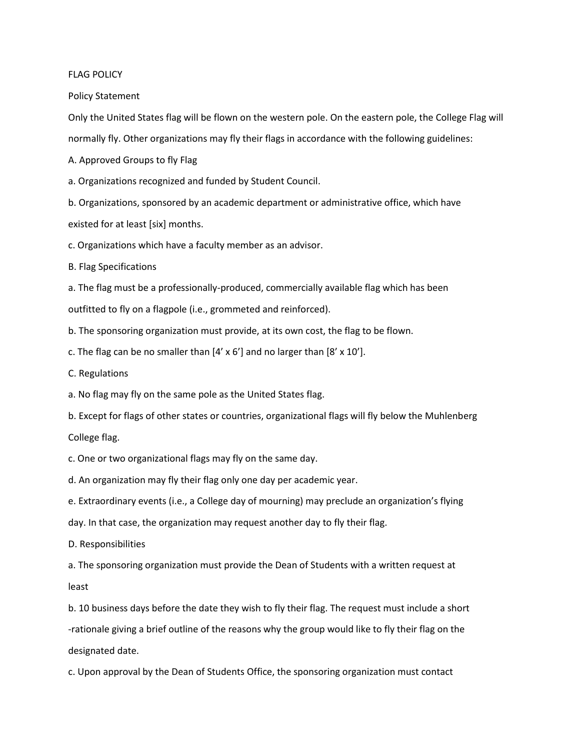## FLAG POLICY

Policy Statement

Only the United States flag will be flown on the western pole. On the eastern pole, the College Flag will normally fly. Other organizations may fly their flags in accordance with the following guidelines:

A. Approved Groups to fly Flag

a. Organizations recognized and funded by Student Council.

b. Organizations, sponsored by an academic department or administrative office, which have

existed for at least [six] months.

c. Organizations which have a faculty member as an advisor.

B. Flag Specifications

a. The flag must be a professionally-produced, commercially available flag which has been outfitted to fly on a flagpole (i.e., grommeted and reinforced).

b. The sponsoring organization must provide, at its own cost, the flag to be flown.

c. The flag can be no smaller than  $[4' \times 6']$  and no larger than  $[8' \times 10']$ .

C. Regulations

a. No flag may fly on the same pole as the United States flag.

b. Except for flags of other states or countries, organizational flags will fly below the Muhlenberg College flag.

c. One or two organizational flags may fly on the same day.

d. An organization may fly their flag only one day per academic year.

e. Extraordinary events (i.e., a College day of mourning) may preclude an organization's flying

day. In that case, the organization may request another day to fly their flag.

D. Responsibilities

a. The sponsoring organization must provide the Dean of Students with a written request at least

b. 10 business days before the date they wish to fly their flag. The request must include a short -rationale giving a brief outline of the reasons why the group would like to fly their flag on the designated date.

c. Upon approval by the Dean of Students Office, the sponsoring organization must contact